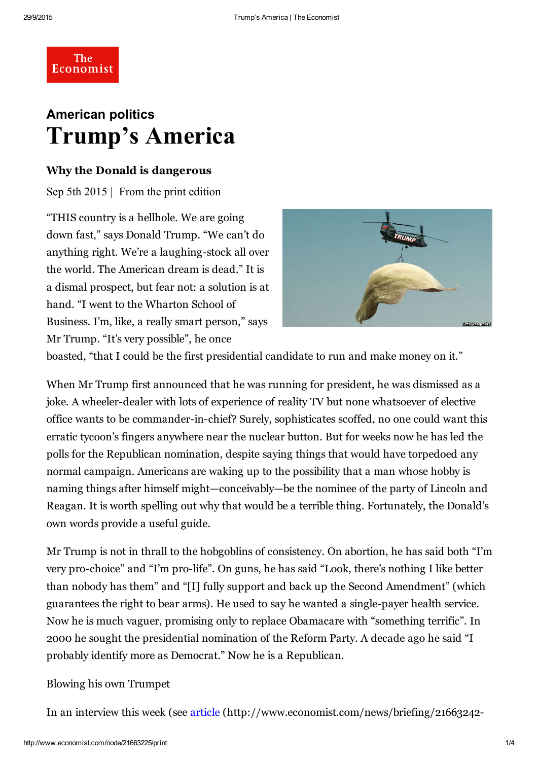**The** Economist

# American politics Trump's America

### Why the Donald is dangerous

Sep 5th 2015 | From the print [edition](http://www.economist.com/printedition/2015-09-05)

"THIS country is a hellhole. We are going down fast," says Donald Trump. "We can't do anything right. We're a laughing-stock all over the world. The American dream is dead." It is a dismal prospect, but fear not: a solution is at hand. "I went to the Wharton School of Business. I'm, like, a really smart person," says Mr Trump. "It's very possible", he once



boasted, "that I could be the first presidential candidate to run and make money on it."

When Mr Trump first announced that he was running for president, he was dismissed as a joke. A wheeler-dealer with lots of experience of reality TV but none whatsoever of elective office wants to be commander-in-chief? Surely, sophisticates scoffed, no one could want this erratic tycoon's fingers anywhere near the nuclear button. But for weeks now he has led the polls for the Republican nomination, despite saying things that would have torpedoed any normal campaign. Americans are waking up to the possibility that a man whose hobby is naming things after himself might—conceivably—be the nominee of the party of Lincoln and Reagan. It is worth spelling out why that would be a terrible thing. Fortunately, the Donald's own words provide a useful guide.

Mr Trump is not in thrall to the hobgoblins of consistency. On abortion, he has said both "I'm very pro-choice" and "I'm pro-life". On guns, he has said "Look, there's nothing I like better than nobody has them" and "[I] fully support and back up the Second Amendment" (which guarantees the right to bear arms). He used to say he wanted a single-payer health service. Now he is much vaguer, promising only to replace Obamacare with "something terrific". In 2000 he sought the presidential nomination of the Reform Party. A decade ago he said "I probably identify more as Democrat." Now he is a Republican.

#### Blowing his own Trumpet

In an interview this week (see article [\(http://www.economist.com/news/briefing/21663242](http://www.economist.com/news/briefing/21663242-republican-party-regularly-sees-insurgents-its-primaries-self-funding-one-who-seems)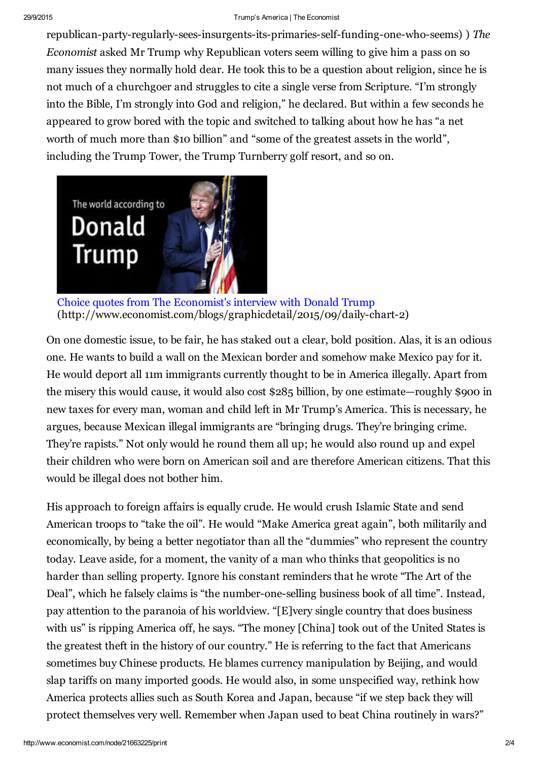#### 29/9/2015 Trump's America | The Economist

republican-party-regularly-sees-insurgents-its-primaries-self-funding-one-who-seems) ) The Economist asked Mr Trump why Republican voters seem willing to give him a pass on so many issues they normally hold dear. He took this to be a question about religion, since he is not much of a churchgoer and struggles to cite a single verse from Scripture. "I'm strongly into the Bible, I'm strongly into God and religion," he declared. But within a few seconds he appeared to grow bored with the topic and switched to talking about how he has "a net worth of much more than \$10 billion" and "some of the greatest assets in the world", including the Trump Tower, the Trump Turnberry golf resort, and so on.



Choice quotes from The [Economist's](http://www.economist.com/blogs/graphicdetail/2015/09/daily-chart-2) interview with Donald Trump (http://www.economist.com/blogs/graphicdetail/2015/09/daily-chart-2)

On one domestic issue, to be fair, he has staked out a clear, bold position. Alas, it is an odious one. He wants to build a wall on the Mexican border and somehow make Mexico pay for it. He would deport all 11m immigrants currently thought to be in America illegally. Apart from the misery this would cause, it would also cost \$285 billion, by one estimate—roughly \$900 in new taxes for every man, woman and child left in Mr Trump's America. This is necessary, he argues, because Mexican illegal immigrants are "bringing drugs. They're bringing crime. They're rapists." Not only would he round them all up; he would also round up and expel their children who were born on American soil and are therefore American citizens. That this would be illegal does not bother him.

His approach to foreign affairs is equally crude. He would crush Islamic State and send American troops to "take the oil". He would "Make America great again", both militarily and economically, by being a better negotiator than all the "dummies" who represent the country today. Leave aside, for a moment, the vanity of a man who thinks that geopolitics is no harder than selling property. Ignore his constant reminders that he wrote "The Art of the Deal", which he falsely claims is "the number-one-selling business book of all time". Instead, pay attention to the paranoia of his worldview. "[E]very single country that does business with us" is ripping America off, he says. "The money [China] took out of the United States is the greatest theft in the history of our country." He is referring to the fact that Americans sometimes buy Chinese products. He blames currency manipulation by Beijing, and would slap tariffs on many imported goods. He would also, in some unspecified way, rethink how America protects allies such as South Korea and Japan, because "if we step back they will protect themselves very well. Remember when Japan used to beat China routinely in wars?"